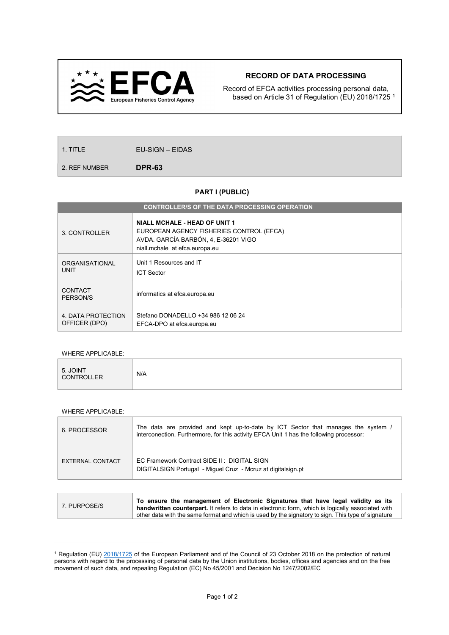

## RECORD OF DATA PROCESSING

Record of EFCA activities processing personal data, based on Article 31 of Regulation (EU) 2018/1725 <sup>1</sup>

1. TITLE **EU-SIGN – EIDAS** 

2. REF NUMBER **DPR-63** 

## PART I (PUBLIC)

| <b>CONTROLLER/S OF THE DATA PROCESSING OPERATION</b> |                                                                                                                                                            |  |  |  |  |
|------------------------------------------------------|------------------------------------------------------------------------------------------------------------------------------------------------------------|--|--|--|--|
| 3. CONTROLLER                                        | <b>NIALL MCHALE - HEAD OF UNIT 1</b><br>EUROPEAN AGENCY FISHERIES CONTROL (EFCA)<br>AVDA. GARCÍA BARBÓN, 4, E-36201 VIGO<br>niall.mchale at efca.europa.eu |  |  |  |  |
| <b>ORGANISATIONAL</b><br><b>UNIT</b>                 | Unit 1 Resources and IT<br><b>ICT Sector</b>                                                                                                               |  |  |  |  |
| CONTACT<br>PERSON/S                                  | informatics at efca.europa.eu                                                                                                                              |  |  |  |  |
| 4. DATA PROTECTION<br>OFFICER (DPO)                  | Stefano DONADELLO +34 986 12 06 24<br>EFCA-DPO at efca.europa.eu                                                                                           |  |  |  |  |

## WHERE APPLICABLE:

|--|

## WHERE APPLICABLE:

 $\overline{a}$ 

| 6. PROCESSOR     | The data are provided and kept up-to-date by ICT Sector that manages the system /<br>interconection. Furthermore, for this activity EFCA Unit 1 has the following processor: |
|------------------|------------------------------------------------------------------------------------------------------------------------------------------------------------------------------|
| EXTERNAL CONTACT | EC Framework Contract SIDE II: DIGITAL SIGN<br>DIGITALSIGN Portugal - Miguel Cruz - Mcruz at digitalsign.pt                                                                  |

|              | To ensure the management of Electronic Signatures that have legal validity as its                           |
|--------------|-------------------------------------------------------------------------------------------------------------|
| 7. PURPOSE/S | handwritten counterpart. It refers to data in electronic form, which is logically associated with           |
|              | $\alpha$ other data with the same format and which is used by the signatory to sign. This type of signature |

<sup>&</sup>lt;sup>1</sup> Regulation (EU) 2018/1725 of the European Parliament and of the Council of 23 October 2018 on the protection of natural persons with regard to the processing of personal data by the Union institutions, bodies, offices and agencies and on the free movement of such data, and repealing Regulation (EC) No 45/2001 and Decision No 1247/2002/EC